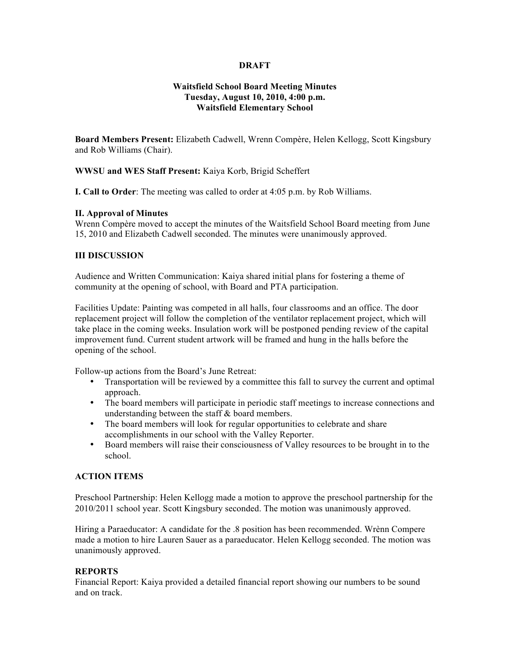## **DRAFT**

# **Waitsfield School Board Meeting Minutes Tuesday, August 10, 2010, 4:00 p.m. Waitsfield Elementary School**

**Board Members Present:** Elizabeth Cadwell, Wrenn Compère, Helen Kellogg, Scott Kingsbury and Rob Williams (Chair).

### **WWSU and WES Staff Present:** Kaiya Korb, Brigid Scheffert

**I. Call to Order**: The meeting was called to order at 4:05 p.m. by Rob Williams.

## **II. Approval of Minutes**

Wrenn Compère moved to accept the minutes of the Waitsfield School Board meeting from June 15, 2010 and Elizabeth Cadwell seconded. The minutes were unanimously approved.

### **III DISCUSSION**

Audience and Written Communication: Kaiya shared initial plans for fostering a theme of community at the opening of school, with Board and PTA participation.

Facilities Update: Painting was competed in all halls, four classrooms and an office. The door replacement project will follow the completion of the ventilator replacement project, which will take place in the coming weeks. Insulation work will be postponed pending review of the capital improvement fund. Current student artwork will be framed and hung in the halls before the opening of the school.

Follow-up actions from the Board's June Retreat:

- Transportation will be reviewed by a committee this fall to survey the current and optimal approach.
- The board members will participate in periodic staff meetings to increase connections and understanding between the staff & board members.
- The board members will look for regular opportunities to celebrate and share accomplishments in our school with the Valley Reporter.
- Board members will raise their consciousness of Valley resources to be brought in to the school.

## **ACTION ITEMS**

Preschool Partnership: Helen Kellogg made a motion to approve the preschool partnership for the 2010/2011 school year. Scott Kingsbury seconded. The motion was unanimously approved.

Hiring a Paraeducator: A candidate for the .8 position has been recommended. Wrènn Compere made a motion to hire Lauren Sauer as a paraeducator. Helen Kellogg seconded. The motion was unanimously approved.

#### **REPORTS**

Financial Report: Kaiya provided a detailed financial report showing our numbers to be sound and on track.